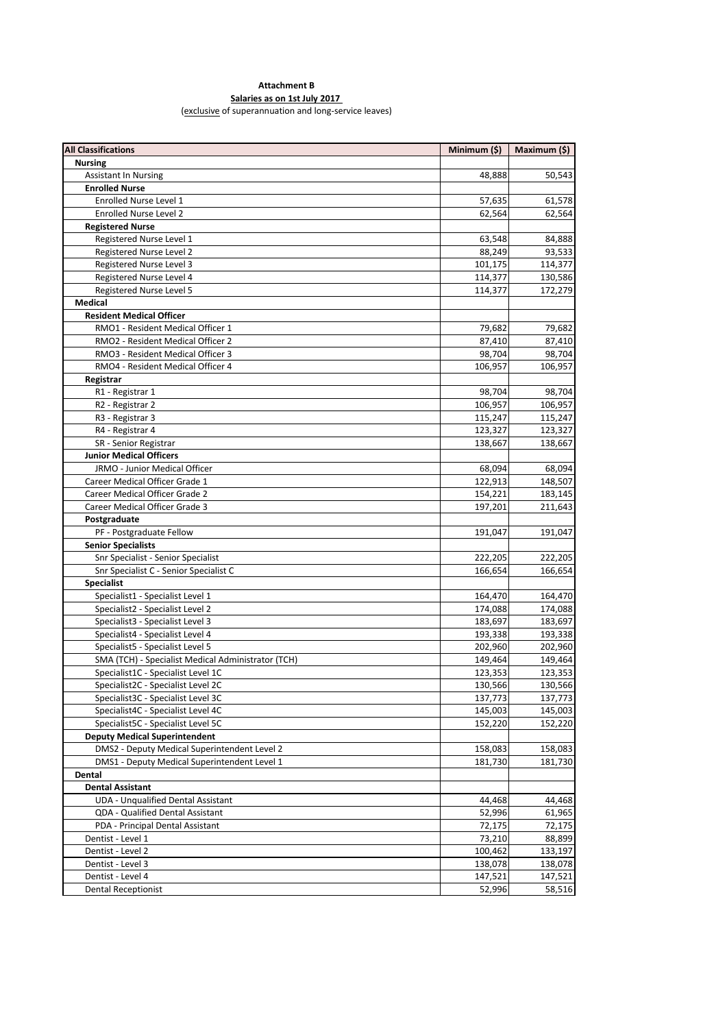## **Attachment B**

**Salaries as on 1st July 2017**  (exclusive of superannuation and long-service leaves)

| <b>All Classifications</b>                         | Minimum (\$) | Maximum (\$) |
|----------------------------------------------------|--------------|--------------|
| <b>Nursing</b>                                     |              |              |
| <b>Assistant In Nursing</b>                        | 48,888       | 50,543       |
| <b>Enrolled Nurse</b>                              |              |              |
| Enrolled Nurse Level 1                             | 57,635       | 61,578       |
| <b>Enrolled Nurse Level 2</b>                      | 62,564       | 62,564       |
| <b>Registered Nurse</b>                            |              |              |
| Registered Nurse Level 1                           | 63,548       | 84,888       |
| Registered Nurse Level 2                           | 88,249       | 93,533       |
| Registered Nurse Level 3                           | 101,175      | 114,377      |
| Registered Nurse Level 4                           | 114,377      | 130,586      |
| Registered Nurse Level 5                           | 114,377      | 172,279      |
| <b>Medical</b>                                     |              |              |
| <b>Resident Medical Officer</b>                    |              |              |
| RMO1 - Resident Medical Officer 1                  | 79,682       | 79,682       |
| RMO2 - Resident Medical Officer 2                  | 87,410       | 87,410       |
| RMO3 - Resident Medical Officer 3                  | 98,704       | 98,704       |
| RMO4 - Resident Medical Officer 4                  | 106,957      | 106,957      |
| Registrar                                          |              |              |
| R1 - Registrar 1                                   | 98,704       | 98,704       |
| R2 - Registrar 2                                   | 106,957      | 106,957      |
| R <sub>3</sub> - Registrar 3                       | 115,247      | 115,247      |
| R4 - Registrar 4                                   | 123,327      | 123,327      |
| SR - Senior Registrar                              | 138,667      | 138,667      |
| <b>Junior Medical Officers</b>                     |              |              |
| JRMO - Junior Medical Officer                      | 68,094       | 68,094       |
| Career Medical Officer Grade 1                     | 122,913      | 148,507      |
| Career Medical Officer Grade 2                     | 154,221      | 183,145      |
| Career Medical Officer Grade 3                     | 197,201      | 211,643      |
| Postgraduate                                       |              |              |
| PF - Postgraduate Fellow                           | 191,047      | 191,047      |
| <b>Senior Specialists</b>                          |              |              |
| Snr Specialist - Senior Specialist                 | 222,205      | 222,205      |
| Snr Specialist C - Senior Specialist C             | 166,654      | 166,654      |
| <b>Specialist</b>                                  |              |              |
| Specialist1 - Specialist Level 1                   | 164,470      | 164,470      |
| Specialist2 - Specialist Level 2                   | 174,088      | 174,088      |
| Specialist3 - Specialist Level 3                   | 183,697      | 183,697      |
| Specialist4 - Specialist Level 4                   | 193,338      | 193,338      |
| Specialist5 - Specialist Level 5                   | 202,960      | 202,960      |
| SMA (TCH) - Specialist Medical Administrator (TCH) | 149,464      | 149,464      |
| Specialist1C - Specialist Level 1C                 | 123,353      | 123,353      |
| Specialist2C - Specialist Level 2C                 | 130,566      | 130,566      |
| Specialist3C - Specialist Level 3C                 | 137,773      | 137,773      |
| Specialist4C - Specialist Level 4C                 | 145,003      | 145,003      |
| Specialist5C - Specialist Level 5C                 | 152,220      | 152,220      |
| <b>Deputy Medical Superintendent</b>               |              |              |
| DMS2 - Deputy Medical Superintendent Level 2       | 158,083      | 158,083      |
| DMS1 - Deputy Medical Superintendent Level 1       | 181,730      | 181,730      |
| Dental                                             |              |              |
| <b>Dental Assistant</b>                            |              |              |
| UDA - Unqualified Dental Assistant                 | 44,468       | 44,468       |
| QDA - Qualified Dental Assistant                   | 52,996       | 61,965       |
| PDA - Principal Dental Assistant                   | 72,175       | 72,175       |
| Dentist - Level 1                                  |              |              |
|                                                    | 73,210       | 88,899       |
| Dentist - Level 2                                  | 100,462      | 133,197      |
| Dentist - Level 3                                  | 138,078      | 138,078      |
| Dentist - Level 4                                  | 147,521      | 147,521      |
| <b>Dental Receptionist</b>                         | 52,996       | 58,516       |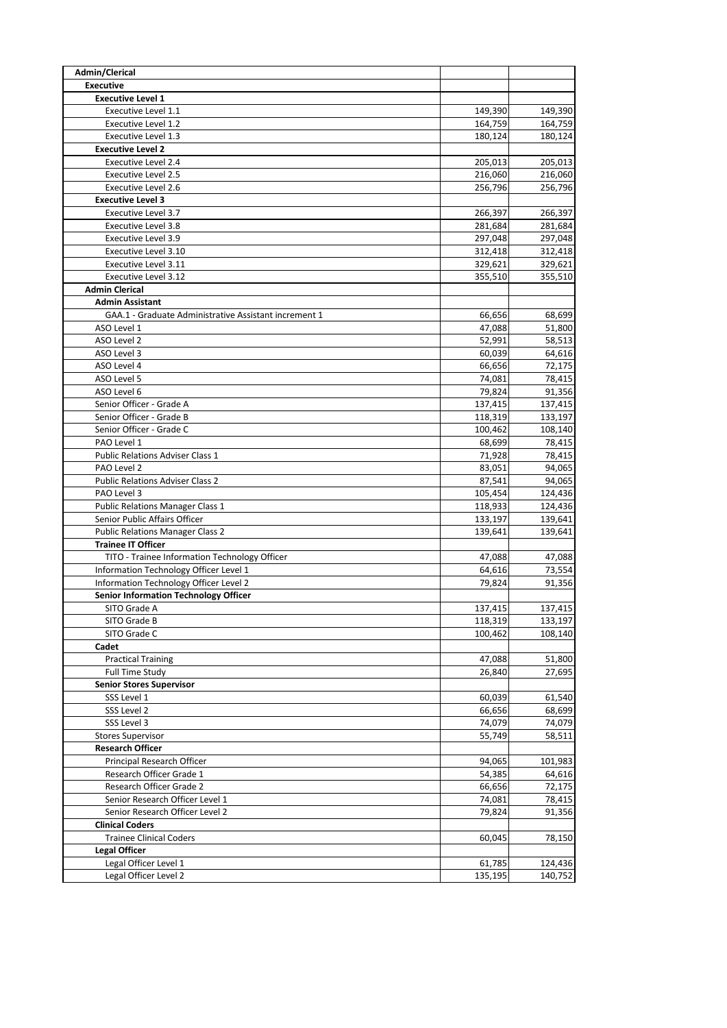| Admin/Clerical                                        |         |         |
|-------------------------------------------------------|---------|---------|
| <b>Executive</b>                                      |         |         |
| <b>Executive Level 1</b>                              |         |         |
| Executive Level 1.1                                   | 149,390 | 149,390 |
| Executive Level 1.2                                   | 164,759 | 164,759 |
| Executive Level 1.3                                   | 180,124 | 180,124 |
| <b>Executive Level 2</b>                              |         |         |
| <b>Executive Level 2.4</b>                            | 205,013 | 205,013 |
| <b>Executive Level 2.5</b>                            | 216,060 | 216,060 |
| <b>Executive Level 2.6</b>                            | 256,796 | 256,796 |
| <b>Executive Level 3</b>                              |         |         |
| <b>Executive Level 3.7</b>                            | 266,397 | 266,397 |
| <b>Executive Level 3.8</b>                            | 281,684 | 281,684 |
| Executive Level 3.9                                   | 297,048 | 297,048 |
| Executive Level 3.10                                  | 312,418 | 312,418 |
| Executive Level 3.11                                  | 329,621 | 329,621 |
| Executive Level 3.12                                  | 355,510 | 355,510 |
| <b>Admin Clerical</b>                                 |         |         |
| <b>Admin Assistant</b>                                |         |         |
| GAA.1 - Graduate Administrative Assistant increment 1 | 66,656  | 68,699  |
| ASO Level 1                                           | 47,088  | 51,800  |
| ASO Level 2                                           | 52,991  | 58,513  |
| ASO Level 3                                           | 60,039  | 64,616  |
| ASO Level 4                                           | 66,656  | 72,175  |
| ASO Level 5                                           | 74,081  | 78,415  |
| ASO Level 6                                           | 79,824  | 91,356  |
| Senior Officer - Grade A                              | 137,415 | 137,415 |
| Senior Officer - Grade B                              | 118,319 | 133,197 |
| Senior Officer - Grade C                              | 100,462 | 108,140 |
| PAO Level 1                                           | 68,699  | 78,415  |
| Public Relations Adviser Class 1                      | 71,928  | 78,415  |
| PAO Level 2                                           | 83,051  | 94,065  |
| <b>Public Relations Adviser Class 2</b>               | 87,541  | 94,065  |
| PAO Level 3                                           | 105,454 | 124,436 |
| Public Relations Manager Class 1                      | 118,933 | 124,436 |
| Senior Public Affairs Officer                         | 133,197 | 139,641 |
| <b>Public Relations Manager Class 2</b>               | 139,641 | 139,641 |
| <b>Trainee IT Officer</b>                             |         |         |
| TITO - Trainee Information Technology Officer         | 47,088  | 47,088  |
| Information Technology Officer Level 1                | 64,616  | 73,554  |
| Information Technology Officer Level 2                | 79,824  | 91,356  |
| <b>Senior Information Technology Officer</b>          |         |         |
| SITO Grade A                                          | 137,415 | 137,415 |
| SITO Grade B                                          | 118,319 | 133,197 |
| SITO Grade C                                          | 100,462 | 108,140 |
| Cadet                                                 |         |         |
| <b>Practical Training</b>                             | 47,088  | 51,800  |
| <b>Full Time Study</b>                                | 26,840  | 27,695  |
| <b>Senior Stores Supervisor</b>                       |         |         |
| SSS Level 1                                           | 60,039  | 61,540  |
| SSS Level 2                                           | 66,656  | 68,699  |
| SSS Level 3                                           | 74,079  | 74,079  |
| <b>Stores Supervisor</b>                              | 55,749  | 58,511  |
| <b>Research Officer</b>                               |         |         |
| Principal Research Officer                            | 94,065  | 101,983 |
| Research Officer Grade 1                              | 54,385  | 64,616  |
| Research Officer Grade 2                              | 66,656  | 72,175  |
| Senior Research Officer Level 1                       | 74,081  | 78,415  |
| Senior Research Officer Level 2                       | 79,824  | 91,356  |
| <b>Clinical Coders</b>                                |         |         |
| <b>Trainee Clinical Coders</b>                        | 60,045  | 78,150  |
| <b>Legal Officer</b>                                  |         |         |
| Legal Officer Level 1                                 | 61,785  | 124,436 |
| Legal Officer Level 2                                 | 135,195 | 140,752 |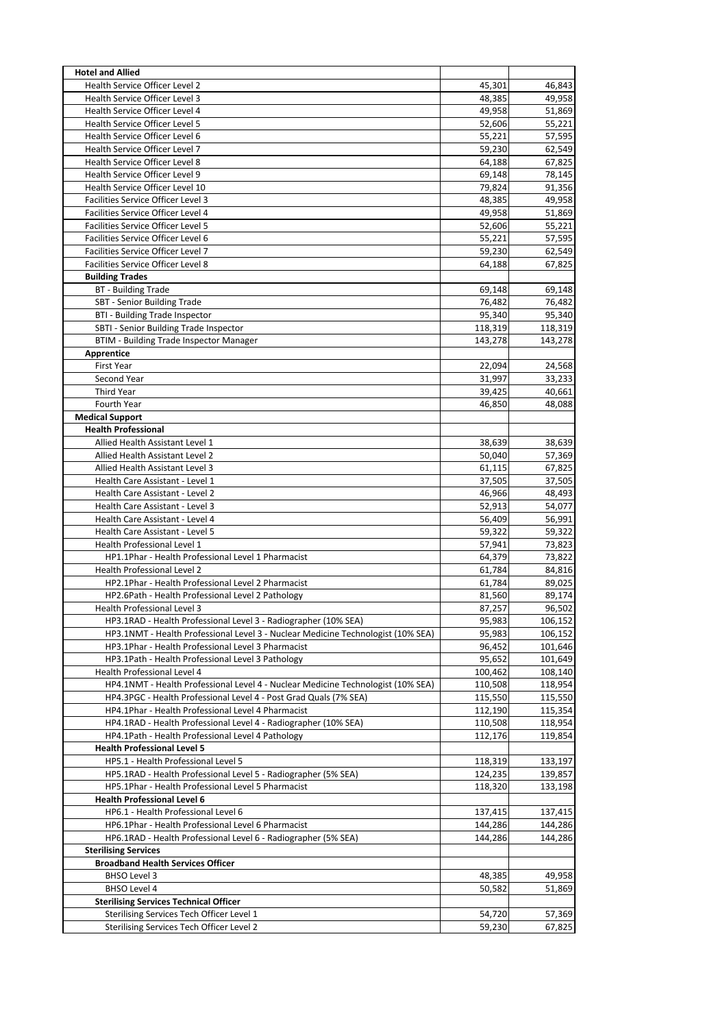| <b>Hotel and Allied</b>                                                                                         |                    |                    |
|-----------------------------------------------------------------------------------------------------------------|--------------------|--------------------|
| Health Service Officer Level 2                                                                                  | 45,301             | 46,843             |
| Health Service Officer Level 3                                                                                  | 48,385             | 49,958             |
| Health Service Officer Level 4                                                                                  | 49,958             | 51,869             |
| Health Service Officer Level 5                                                                                  | 52,606             | 55,221             |
| Health Service Officer Level 6                                                                                  | 55,221<br>59.230   | 57,595             |
| Health Service Officer Level 7<br>Health Service Officer Level 8                                                | 64,188             | 62,549<br>67,825   |
| Health Service Officer Level 9                                                                                  | 69,148             | 78,145             |
| Health Service Officer Level 10                                                                                 | 79,824             | 91,356             |
| Facilities Service Officer Level 3                                                                              | 48,385             | 49,958             |
| Facilities Service Officer Level 4                                                                              | 49,958             | 51,869             |
| Facilities Service Officer Level 5                                                                              | 52,606             | 55,221             |
| Facilities Service Officer Level 6                                                                              | 55.221             | 57,595             |
| Facilities Service Officer Level 7                                                                              | 59,230             | 62,549             |
| Facilities Service Officer Level 8                                                                              | 64,188             | 67,825             |
| <b>Building Trades</b>                                                                                          |                    |                    |
| <b>BT</b> - Building Trade                                                                                      | 69,148             | 69,148             |
| SBT - Senior Building Trade                                                                                     | 76,482             | 76,482             |
| <b>BTI - Building Trade Inspector</b>                                                                           | 95,340             | 95,340             |
| SBTI - Senior Building Trade Inspector<br>BTIM - Building Trade Inspector Manager                               | 118,319<br>143.278 | 118,319<br>143,278 |
| Apprentice                                                                                                      |                    |                    |
| <b>First Year</b>                                                                                               | 22,094             | 24,568             |
| Second Year                                                                                                     | 31,997             | 33,233             |
| <b>Third Year</b>                                                                                               | 39,425             | 40.661             |
| Fourth Year                                                                                                     | 46,850             | 48,088             |
| <b>Medical Support</b>                                                                                          |                    |                    |
| <b>Health Professional</b>                                                                                      |                    |                    |
| Allied Health Assistant Level 1                                                                                 | 38,639             | 38,639             |
| Allied Health Assistant Level 2                                                                                 | 50,040             | 57,369             |
| Allied Health Assistant Level 3                                                                                 | 61,115             | 67,825             |
| Health Care Assistant - Level 1                                                                                 | 37,505             | 37,505             |
| Health Care Assistant - Level 2                                                                                 | 46,966             | 48,493             |
| Health Care Assistant - Level 3<br>Health Care Assistant - Level 4                                              | 52,913<br>56,409   | 54,077<br>56,991   |
| Health Care Assistant - Level 5                                                                                 | 59,322             | 59,322             |
| Health Professional Level 1                                                                                     | 57,941             | 73,823             |
| HP1.1Phar - Health Professional Level 1 Pharmacist                                                              | 64,379             | 73,822             |
| Health Professional Level 2                                                                                     | 61,784             | 84,816             |
| HP2.1Phar - Health Professional Level 2 Pharmacist                                                              | 61,784             | 89,025             |
| HP2.6Path - Health Professional Level 2 Pathology                                                               | 81,560             | 89,174             |
| <b>Health Professional Level 3</b>                                                                              | 87,257             | 96,502             |
| HP3.1RAD - Health Professional Level 3 - Radiographer (10% SEA)                                                 | 95,983             | 106,152            |
| HP3.1NMT - Health Professional Level 3 - Nuclear Medicine Technologist (10% SEA)                                | 95,983             | 106,152            |
| HP3.1Phar - Health Professional Level 3 Pharmacist                                                              | 96,452             | 101,646            |
| HP3.1Path - Health Professional Level 3 Pathology                                                               | 95,652             | 101,649            |
| Health Professional Level 4<br>HP4.1NMT - Health Professional Level 4 - Nuclear Medicine Technologist (10% SEA) | 100,462<br>110,508 | 108,140<br>118,954 |
| HP4.3PGC - Health Professional Level 4 - Post Grad Quals (7% SEA)                                               | 115,550            | 115,550            |
| HP4.1Phar - Health Professional Level 4 Pharmacist                                                              | 112,190            | 115,354            |
| HP4.1RAD - Health Professional Level 4 - Radiographer (10% SEA)                                                 | 110,508            | 118,954            |
| HP4.1Path - Health Professional Level 4 Pathology                                                               | 112,176            | 119,854            |
| <b>Health Professional Level 5</b>                                                                              |                    |                    |
| HP5.1 - Health Professional Level 5                                                                             | 118,319            | 133,197            |
| HP5.1RAD - Health Professional Level 5 - Radiographer (5% SEA)                                                  | 124,235            | 139,857            |
| HP5.1Phar - Health Professional Level 5 Pharmacist                                                              | 118,320            | 133,198            |
| <b>Health Professional Level 6</b>                                                                              |                    |                    |
| HP6.1 - Health Professional Level 6                                                                             | 137,415            | 137,415            |
| HP6.1Phar - Health Professional Level 6 Pharmacist                                                              | 144,286            | 144,286            |
| HP6.1RAD - Health Professional Level 6 - Radiographer (5% SEA)                                                  | 144,286            | 144,286            |
| <b>Sterilising Services</b><br><b>Broadband Health Services Officer</b>                                         |                    |                    |
| BHSO Level 3                                                                                                    | 48,385             | 49,958             |
| <b>BHSO Level 4</b>                                                                                             | 50,582             | 51,869             |
| <b>Sterilising Services Technical Officer</b>                                                                   |                    |                    |
| Sterilising Services Tech Officer Level 1                                                                       | 54,720             | 57,369             |
| Sterilising Services Tech Officer Level 2                                                                       | 59,230             | 67,825             |